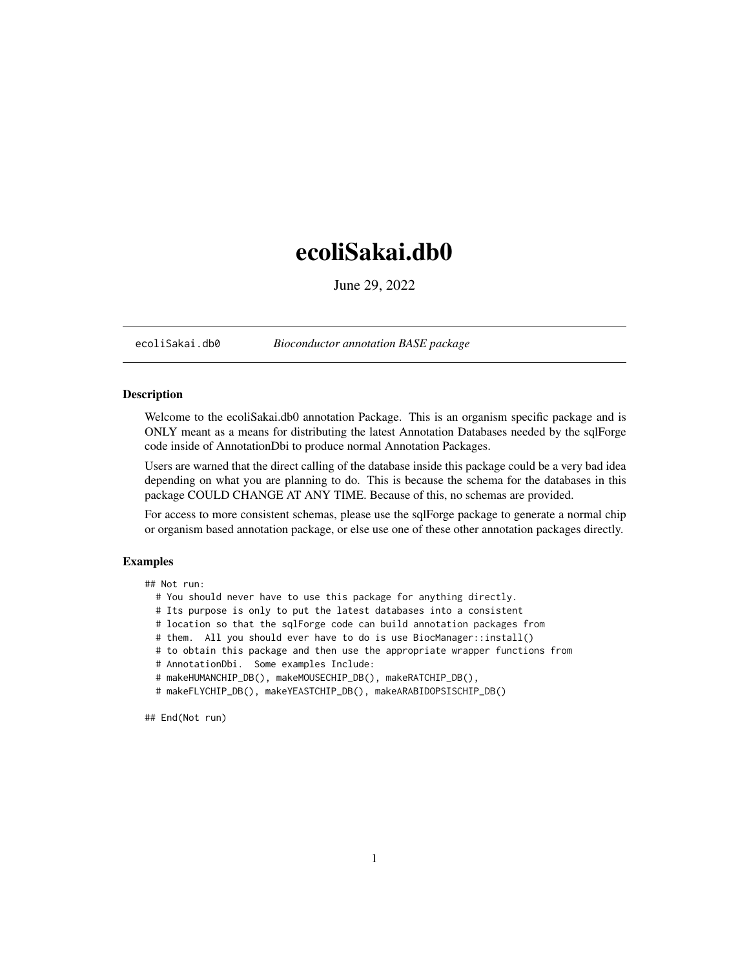## <span id="page-0-0"></span>ecoliSakai.db0

June 29, 2022

ecoliSakai.db0 *Bioconductor annotation BASE package*

## Description

Welcome to the ecoliSakai.db0 annotation Package. This is an organism specific package and is ONLY meant as a means for distributing the latest Annotation Databases needed by the sqlForge code inside of AnnotationDbi to produce normal Annotation Packages.

Users are warned that the direct calling of the database inside this package could be a very bad idea depending on what you are planning to do. This is because the schema for the databases in this package COULD CHANGE AT ANY TIME. Because of this, no schemas are provided.

For access to more consistent schemas, please use the sqlForge package to generate a normal chip or organism based annotation package, or else use one of these other annotation packages directly.

## Examples

## Not run:

- # You should never have to use this package for anything directly.
- # Its purpose is only to put the latest databases into a consistent
- # location so that the sqlForge code can build annotation packages from
- # them. All you should ever have to do is use BiocManager::install()
- # to obtain this package and then use the appropriate wrapper functions from
- # AnnotationDbi. Some examples Include:
- # makeHUMANCHIP\_DB(), makeMOUSECHIP\_DB(), makeRATCHIP\_DB(),
- # makeFLYCHIP\_DB(), makeYEASTCHIP\_DB(), makeARABIDOPSISCHIP\_DB()

## End(Not run)